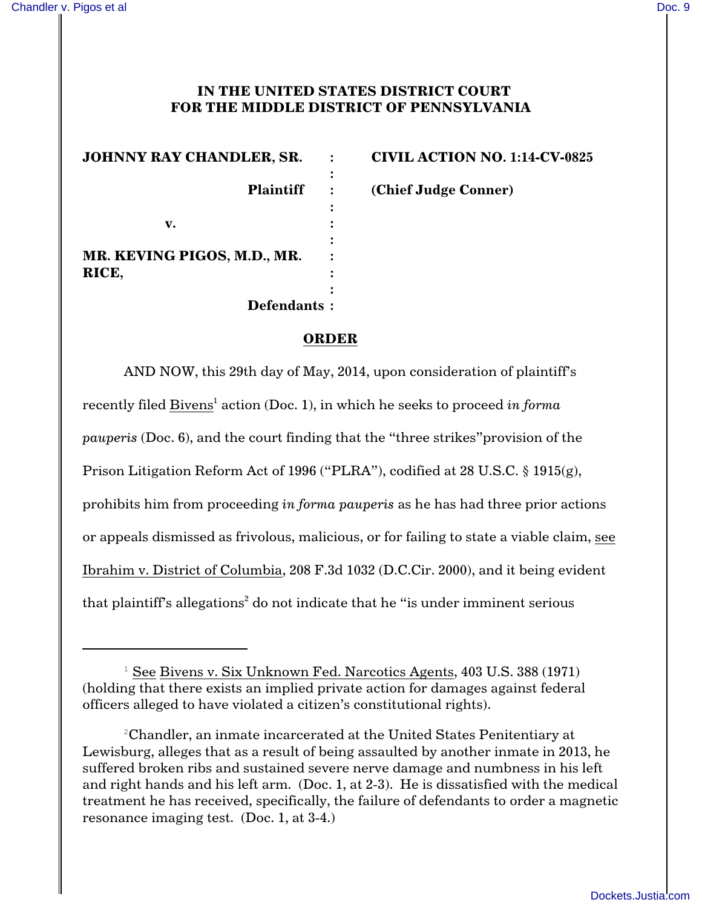## **IN THE UNITED STATES DISTRICT COURT FOR THE MIDDLE DISTRICT OF PENNSYLVANIA**

**JOHNNY RAY CHANDLER, SR. : CIVIL ACTION NO. 1:14-CV-0825 : : v. : : MR. KEVING PIGOS, M.D., MR. : RICE, : : Defendants :**

**Plaintiff : (Chief Judge Conner)**

## **ORDER**

AND NOW, this 29th day of May, 2014, upon consideration of plaintiff's recently filed Bivens<sup>1</sup> action (Doc. 1), in which he seeks to proceed *in forma pauperis* (Doc. 6), and the court finding that the "three strikes"provision of the Prison Litigation Reform Act of 1996 ("PLRA"), codified at 28 U.S.C. § 1915(g), prohibits him from proceeding *in forma pauperis* as he has had three prior actions or appeals dismissed as frivolous, malicious, or for failing to state a viable claim, see Ibrahim v. District of Columbia, 208 F.3d 1032 (D.C.Cir. 2000), and it being evident that plaintiff's allegations<sup>2</sup> do not indicate that he "is under imminent serious

 $1$  See Bivens v. Six Unknown Fed. Narcotics Agents, 403 U.S. 388 (1971) (holding that there exists an implied private action for damages against federal officers alleged to have violated a citizen's constitutional rights).

Chandler, an inmate incarcerated at the United States Penitentiary at <sup>2</sup> Lewisburg, alleges that as a result of being assaulted by another inmate in 2013, he suffered broken ribs and sustained severe nerve damage and numbness in his left and right hands and his left arm. (Doc. 1, at 2-3). He is dissatisfied with the medical treatment he has received, specifically, the failure of defendants to order a magnetic resonance imaging test. (Doc. 1, at 3-4.)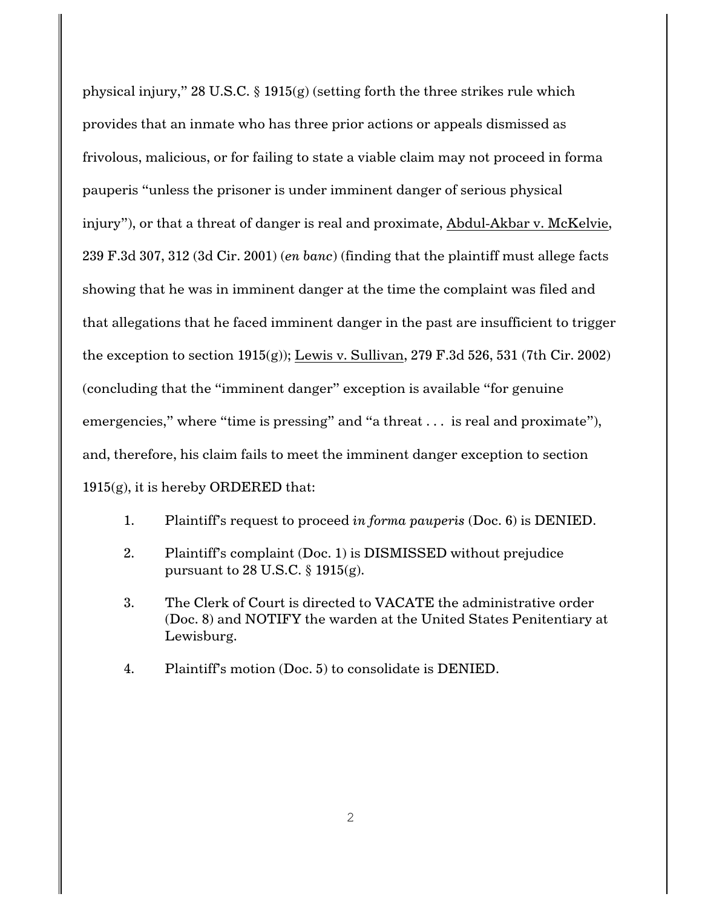physical injury," 28 U.S.C. § 1915(g) (setting forth the three strikes rule which provides that an inmate who has three prior actions or appeals dismissed as frivolous, malicious, or for failing to state a viable claim may not proceed in forma pauperis "unless the prisoner is under imminent danger of serious physical injury"), or that a threat of danger is real and proximate, Abdul-Akbar v. McKelvie, 239 F.3d 307, 312 (3d Cir. 2001) (*en banc*) (finding that the plaintiff must allege facts showing that he was in imminent danger at the time the complaint was filed and that allegations that he faced imminent danger in the past are insufficient to trigger the exception to section  $1915(g)$ ; Lewis v. Sullivan, 279 F.3d 526, 531 (7th Cir. 2002) (concluding that the "imminent danger" exception is available "for genuine emergencies," where "time is pressing" and "a threat . . . is real and proximate"), and, therefore, his claim fails to meet the imminent danger exception to section  $1915(g)$ , it is hereby ORDERED that:

- 1. Plaintiff's request to proceed *in forma pauperis* (Doc. 6) is DENIED.
- 2. Plaintiff's complaint (Doc. 1) is DISMISSED without prejudice pursuant to 28 U.S.C. § 1915(g).
- 3. The Clerk of Court is directed to VACATE the administrative order (Doc. 8) and NOTIFY the warden at the United States Penitentiary at Lewisburg.
- 4. Plaintiff's motion (Doc. 5) to consolidate is DENIED.